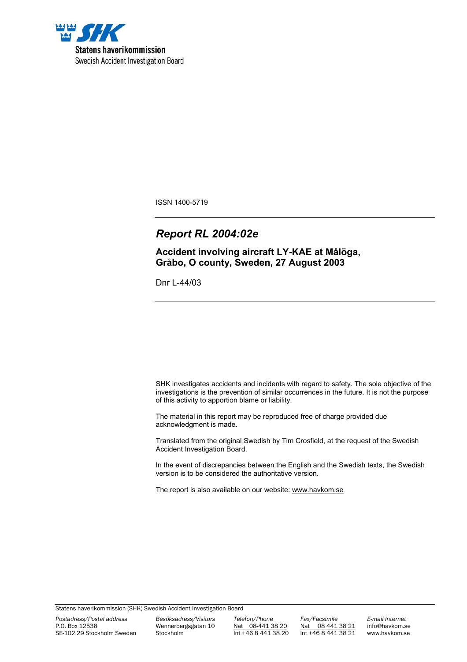

ISSN 1400-5719

# *Report RL 2004:02e*

**Accident involving aircraft LY-KAE at Målöga, Gråbo, O county, Sweden, 27 August 2003**

Dnr L-44/03

SHK investigates accidents and incidents with regard to safety. The sole objective of the investigations is the prevention of similar occurrences in the future. It is not the purpose of this activity to apportion blame or liability.

The material in this report may be reproduced free of charge provided due acknowledgment is made.

Translated from the original Swedish by Tim Crosfield, at the request of the Swedish Accident Investigation Board.

In the event of discrepancies between the English and the Swedish texts, the Swedish version is to be considered the authoritative version.

The report is also available on our website: www.havkom.se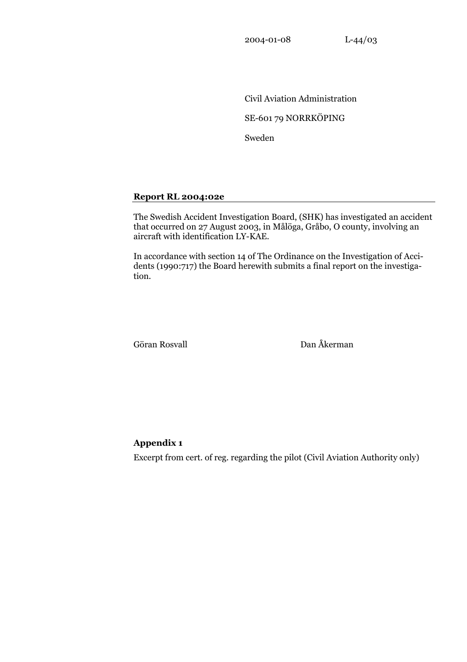2004-01-08 L-44/03

 Civil Aviation Administration SE-601 79 NORRKÖPING Sweden

## **Report RL 2004:02e**

The Swedish Accident Investigation Board, (SHK) has investigated an accident that occurred on 27 August 2003, in Målöga, Gråbo, O county, involving an aircraft with identification LY-KAE.

In accordance with section 14 of The Ordinance on the Investigation of Accidents (1990:717) the Board herewith submits a final report on the investigation.

Göran Rosvall Dan Åkerman

## **Appendix 1**

Excerpt from cert. of reg. regarding the pilot (Civil Aviation Authority only)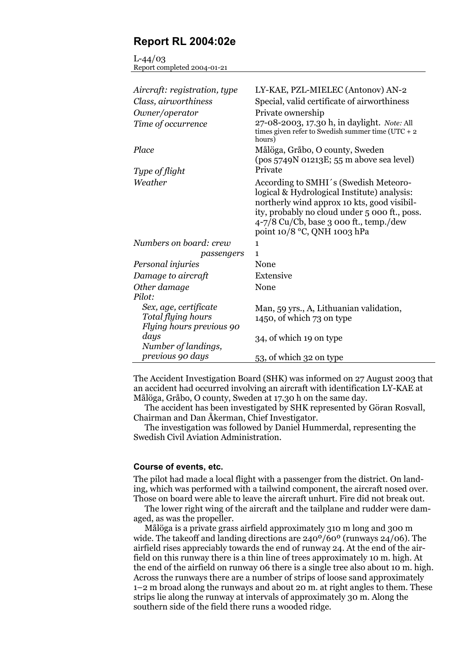## **Report RL 2004:02e**

 $L - 44/03$ Report completed 2004-01-21

| Aircraft: registration, type                   | LY-KAE, PZL-MIELEC (Antonov) AN-2                                                                                                                                                                                                                               |
|------------------------------------------------|-----------------------------------------------------------------------------------------------------------------------------------------------------------------------------------------------------------------------------------------------------------------|
| Class, airworthiness                           | Special, valid certificate of airworthiness                                                                                                                                                                                                                     |
| Owner/operator                                 | Private ownership                                                                                                                                                                                                                                               |
| Time of occurrence                             | 27-08-2003, 17.30 h, in daylight. Note: All<br>times given refer to Swedish summer time (UTC + $2$<br>hours)                                                                                                                                                    |
| Place                                          | Målöga, Gråbo, O county, Sweden<br>$(pos 5749N 01213E; 55 m above sea level)$                                                                                                                                                                                   |
| Type of flight                                 | Private                                                                                                                                                                                                                                                         |
| Weather                                        | According to SMHI's (Swedish Meteoro-<br>logical & Hydrological Institute) analysis:<br>northerly wind approx 10 kts, good visibil-<br>ity, probably no cloud under 5 000 ft., poss.<br>$4-7/8$ Cu/Cb, base 3 000 ft., temp./dew<br>point 10/8 °C, QNH 1003 hPa |
| Numbers on board: crew                         | $\mathbf{1}$                                                                                                                                                                                                                                                    |
| passengers                                     | 1                                                                                                                                                                                                                                                               |
| Personal injuries                              | None                                                                                                                                                                                                                                                            |
| Damage to aircraft                             | Extensive                                                                                                                                                                                                                                                       |
| Other damage                                   | None                                                                                                                                                                                                                                                            |
| Pilot:                                         |                                                                                                                                                                                                                                                                 |
| Sex, age, certificate                          | Man, 59 yrs., A, Lithuanian validation,                                                                                                                                                                                                                         |
| Total flying hours<br>Flying hours previous 90 | 1450, of which 73 on type                                                                                                                                                                                                                                       |
| days<br>Number of landings,                    | 34, of which 19 on type                                                                                                                                                                                                                                         |
| previous 90 days                               | 53, of which 32 on type                                                                                                                                                                                                                                         |

The Accident Investigation Board (SHK) was informed on 27 August 2003 that an accident had occurred involving an aircraft with identification LY-KAE at Målöga, Gråbo, O county, Sweden at 17.30 h on the same day.

The accident has been investigated by SHK represented by Göran Rosvall, Chairman and Dan Åkerman, Chief Investigator.

The investigation was followed by Daniel Hummerdal, representing the Swedish Civil Aviation Administration.

#### **Course of events, etc.**

The pilot had made a local flight with a passenger from the district. On landing, which was performed with a tailwind component, the aircraft nosed over. Those on board were able to leave the aircraft unhurt. Fire did not break out.

The lower right wing of the aircraft and the tailplane and rudder were damaged, as was the propeller.

Målöga is a private grass airfield approximately 310 m long and 300 m wide. The takeoff and landing directions are 240º/60º (runways 24/06). The airfield rises appreciably towards the end of runway 24. At the end of the airfield on this runway there is a thin line of trees approximately 10 m. high. At the end of the airfield on runway 06 there is a single tree also about 10 m. high. Across the runways there are a number of strips of loose sand approximately 1–2 m broad along the runways and about 20 m. at right angles to them. These strips lie along the runway at intervals of approximately 30 m. Along the southern side of the field there runs a wooded ridge.